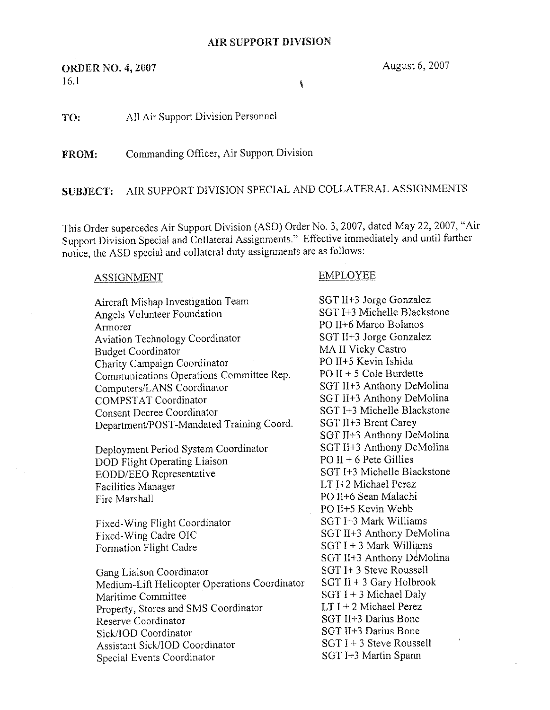## ORT D.

**ORDER NO. 4, 2007** August 6, 2007  $16.1$ 

TO: All Air Support Division Personnel

FROM: Commanding Officer, Air Support Division

SUBJECT: AIR SUPPORT DIVISION SPECIAL AND COLLATERAL ASSIGNMENTS

This Order supercedes Air Support Division (ASD) Order No. 3, 2007, dated May 22, 2007, "Air Support Division Special and Collateral Assignments." Effective immediately and until further notice, the ASD special and collateral duty assignments are as follows:

## ASSIGNMENT EMPLOYEE

Aircraft Mishap Investigation Team SGT II+3 Jorge Gonzalez<br>Angels Volunteer Foundation SGT I+3 Michelle Blackstone Angels Volunteer Foundation Armorer<br>
Aviation Technology Coordinator<br>
Aviation Technology Coordinator<br>
SGT II+3 Jorge Gonzalez Aviation Technology Coordinator SGT IT+3 Jorge Gon<br>Rudget Coordinator MA II Vicky Castro Budget Coordinator MA II Vicky Castro<br>Charity Campaign Coordinator PO II+5 Kevin Ishida Charity Campaign Coordinator<br>Communications Operations Committee Rep. PO II + 5 Cole Burdette  $Communications Operations Committee Rep.$  PO II + 5 Cole Burdette<br>Computers/LANS Coordinator SGT II+3 Anthony DeMolina Computers/LANS Coordinator<br>COMPSTAT Coordinator Consent Decree Coordinator SGT I+3 Michelle Blackstonent/POST-Mandated Training Coord. SGT II+3 Brent Carey Department/POST-Mandated Training Coord.

Deployment Period System Coordinator SGT II+3 Anthony De<br>DOD Flight Operating Liaison PO II + 6 Pete Gillies DOD Flight Operating Liaison<br>EODD/EEO Representative SGT I+3 Michelle Blackstone EODD/EEO Representative Facilities Manager LT I+2 Michael Perez<br>Fire Marshall PO II+6 Sean Malachi

Fixed-Wing Flight Coordinator<br>Fixed-Wing Cadre OIC Formation Flight Cadre

Gang Liaison Coordinator<br>Medium-Lift Heliconter Operations Coordinator SGT II + 3 Gary Holbrook Medium-Lift Helicopter Operations Coordinator<br>Maritime Committee Property, Stores and SMS Coordinator  $LT I + 2$  Michael Perez<br>Beserve Coordinator SGT II+3 Darius Bone Reserve Coordinator<br>
SGT II+3 Darius Bone<br>
SGT II+3 Darius Bone<br>
SGT II+3 Darius Bone Sick/IOD Coordinator<br>Assistant Sick/IOD Coordinator<br>SGT I + 3 Steve Roussell Assistant Sick/IOD Coordinator SGT I + 3 Steve Roussell<br>
SGT I + 3 Steve Roussell<br>
SGT I + 3 Martin Spann Special Events Coordinator

SGT II+3 Anthony DeMolina<br>SGT I+3 Michelle Blackstone SGT II+3 Anthony DeMolina<br>SGT II+3 Anthony DeMolina PO II+6 Sean Malachi PO II+5 Kevin Webb<br>SGT I+3 Mark Williams SGT II+3 Anthony DeMolina<br>SGT I + 3 Mark Williams SGT II+3 Anthony DeMolina SGT  $I + 3$  Michael Daly<br>LT  $I + 2$  Michael Perez